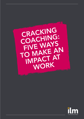

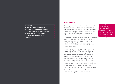Coaching is one of the most powerful learning and development interventions available when it comes to helping individuals improve their performance and unleash their potential. It's ironic then, that despite being in existence for decades, it remains underutilised by many organisations.

Coaching and mentoring can help individuals improve performance, conflict resolution and communication and interpersonal skills. It has never quite shed its elitist image, though. The perception is often that coaching is only available for, or useful to, those in executive positions.

Research carried out by ILM, however, reveals that more than four-fifths (84%) of employers believe coaching should be part of every organisation's management and development programme. In particular, it demonstrates that those that don't offer coaching are missing out on a powerful tool for effecting organisational change. Coaching can have major benefits when it comes to increasing engagement and boosting productivity in new joiners and returners. Those that have received coaching cite improved confidence, performance and productivity. Here are five ways you can use coaching to create more

productive, engaged and fulfilled workforces.

### Introduction

| Introduction |                                            |    |
|--------------|--------------------------------------------|----|
|              | Help your teams navigate change            |    |
|              | 2 Improve performance – across the board   | 03 |
| $\bf{3}$     | Show an investment in skills at all levels |    |
|              | 4 Make the return to work painless         | 05 |
|              | Create a culture of confidence             | n. |
| Conclusion   |                                            |    |

Coaching can improve confidence, performance and productivity across your organisation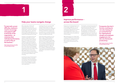We're at the dawn of the Fourth Industrial Revolution and many organisations are entering a period of transformation. That's why coaching is a particularly useful tool – with threequarters (76%) of respondents to our survey agreeing that it helps teams when implementing organisational change.

Change is on the agenda of the vast majority of organisations and will remain so in the coming months and years. Technologies such as artificial intelligence, machine learning and robotics are altering how people do their jobs and bringing in new ways of working. Some individuals will find that parts of their daily work will disappear and, in some cases, entire roles will be eradicated and new ones created. That's where coaching can come in. Fourfifths (79%) of those surveyed believe coaching can help teams when adopting new technology and different ways of working.

As well as the impact of technological change, Brexit and the uncertainty surrounding it means the potential for more disruption. From the employer's point of view, skills gaps are a major concern and are already a reality for many organisations.

Coaching is the most nuanced of L&D interventions and as such can help members of the workforce to understand that change can be good and can help shift their mindset from a negative one to a positive one. It can remove the fear factor from change and help individuals transition mentally and practically.

Half of respondents said they are most likely to copy a colleague's behaviour when in challenging or unfamiliar situations and a third when something goes wrong. The negative effects of this type of contagious leadership are hard to control but ensuring individuals feel well-equipped to deal with day-to-day leadership challenges is an effective form of defence. Organisations that use coaching are future-proofing their teams, making them more resilient to change in the future.



Productivity in the UK lags behind many of its European neighbours. The oneto-one and highly focused nature of coaching has huge potential to improve an employee's performance. It can directly target areas in which a person is weak and both coach and coachee can monitor progress.

58% said they felt more confident after coaching and 42% saw an improvement in performance in colleagues who had been coached, which in turn meant improvement in the entire team took an upturn.

The benefits coaching brings go beyond pure performance though. Coaching makes individuals feel valued and promotes a more inclusive culture within the organisation. This helps to make individuals feel more motivated and engaged with their work. In turn this will help to unlock discretionary effort which is a vital factor in increasing productivity.

## Help your teams navigate change

# Improve performance – across the board

"To deal with current difficulty, employers need to encourage and support staff at all levels of the

organisation – to maximise their individual performance, as well as that of the business."

Nick Cutland, director of quality at City & Guilds and ILM

"Companies that don't harness coaching are not only missing out on a powerful tool for organisational change and employee engagement, but also one that boosts productivity,"

Nick Cutland, director of quality at City & Guilds and ILM



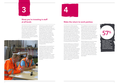The research found that companies that don't coach leave employees thinking their employers could be doing more for them: of the 15% that aren't offered coaching, a third say there is a lack of investment; a similar proportion (31%) believe that staff are taken for granted; one-fifth (22%) that leaders are not interested in staff; and the same number that the organisation doesn't understand the value of coaching.

**100000 RM 30** 



Individuals are unlikely to feel valued at such organisations and morale, engagement and motivation levels will drop, leading to a fall-off in performance and productivity. Coaching sends an extremely positive message to employees that they are valued and worthy of investment. This also feeds into the employer brand and provides attraction and retention benefits for the organisation. Managers also report that they feel positive about the impact of coaching: two-thirds (67%) of those surveyed agree that coaching would make them feel good about managing others.

Coaching needs to move away from its executive level connotations and be viewed as something that is accessible to all levels of the workforce and at all stages of a career. The viewpoint is starting to change, but too many organisations are overlooking coaching as a powerful tool to increase engagement and performance at key parts of a person's career, such as those returning from a break or moving into new roles.

### at all levels and the return to work painless at all levels

Currently only two-fifths of people returning from a career break receive coaching and, of those that didn't, there was a strong sense that it would have eased their re-entry to the workplace. Three-fifths (60%) of them said they think it would have benefited them, their team and the organisation while just over half said it would have benefited them personally. A fifth of returners said it took them four months or more to feel part of the team again and 17% cited a similar period of time before they were back up to working at the best of their ability.

**ISSE** 57% Fewer than threefifths of those respondents who had moved to a new company had received coaching

As well as adding up to a costly loss of man hours, this could have a potential detrimental impact on the returner's confidence levels as well as their motivation. They may have returned with insecurities about their ability to perform and if these aren't allayed quickly, they will continue to feel uncomfortable in their role and may even make a decision to leave. Coaching provides a way to protect an organisation's investment in someone who is returning from a break whether it be from maternity/paternity leave or a sabbatical.

The availability of coaching seems more prevalent when it comes to new joiners. Of those respondents who had moved to a new company, fewer than three-fifths (57%) had received coaching. Out of those that didn't, three-fifths (59%) said coaching would have been helpful for either themselves, their team or their company. Out of those who had changed role in their company, two in five did not receive coaching and four-fifths believe it would have been of benefit.

While the figures are more encouraging in terms of the volume of people coached, organisations are still losing too many valuable man hours while individuals get up to speed in a role. More than a quarter of respondents who had moved roles said it took as long as four months or more to work to the best of their ability and 10% of these that it took seven months. Out of the two-fifths who didn't receive coaching after they were promoted, 70% said it would have been helpful.

# Show you're investing in staff

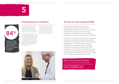

- 
- 
- 



Putting in place a coaching strategy and a coaching culture does not happen overnight. It demands effort, commitment and investment, but developing coaching skills at every level of an organisation can pay dividends.

For two thirds (67%) of those surveyed, the extra guidance and support provided by coaching made them feel good about managing others, while 71% said that coaching would be useful for their role. In fact, 84% said that coaching would have helped them in periods when they struggled to manage an individual and 88% when they had struggled with a particular project.

Amongst those respondents who have received coaching, improved confidence, performance and productivity are cited as three of the most important positive changes witnessed for themselves, others and their wider team and organisation.

# Coaching improves confidence The time to crack coaching is NOW

Organisations need to act now. The pace of technological change, digital disruption, globalisation and complex operating environments means that for organisations to thrive, they must ensure their workforce is aligned with the organisation and performing to the best of its ability.

"Coaching is an easily accessible tool that empowers employers to undertake successful organisational change, boost employee performance and increase engagement, in turn maximising productivity," says Cutland. "Our research demonstrates that people place real value in coaching, a fact that employers cannot afford to overlook. Being so easy to implement, and yet affecting employees and the wider organisation so positively, coaching is a missed trick for employers that fail to get on board."



Want to find out more about coaching? Get in touch with the team and request an appointment to discuss how we could help you. E: [sarah.cooksedge@i-l-m.com](mailto:sarah.cooksedge%40i-l-m.com?subject=) [www.i-l-m.com/skillsrevolution](http://www.i-l-m.com/skillsrevolution)